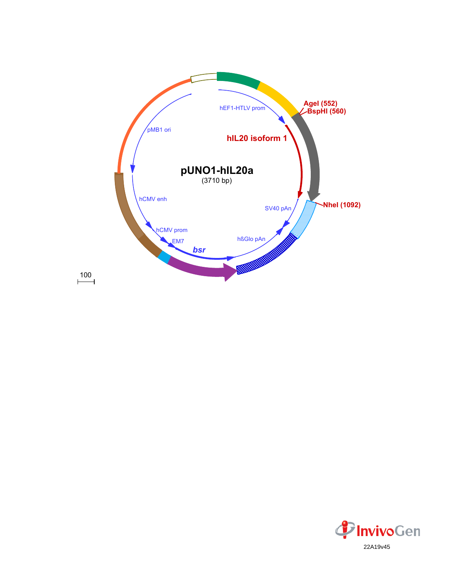

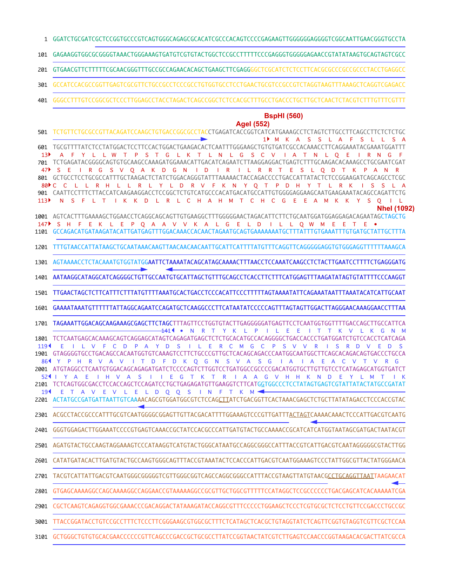- GGATCTGCGATCGCTCCGGTGCCCGTCAGTGGGCAGAGCGCACATCGCCCACAGTCCCCGAGAAGTTGGGGGGAGGGGTCGGCAATTGAACGGGTGCCTA 1
- GAGAAGGTGGCGCGGGGTAAACTGGGAAAGTGATGTCGTGTACTGGCTCCGCCTTTTTCCCGAGGGTGGGGGAGAACCGTATATAAGTGCAGTAGTCGCC 101
- GTGAACGTTCTTTTTCGCAACGGGTTTGCCGCCAGAACACAGCTGAAGCTTCGAGGGGCTCGCATCTCTCCTTCACGCGCCCGCCGCCCTACCTGAGGCC 201
- 301 GCCATCCACGCCGGTTGAGTCGCGTTCTGCCGCCTCCCGCCTGTGGTGCCTCCTGAACTGCGTCCGCCGTCTAGGTAAGTTTAAAGCTCAGGTCGAGACC
- GGGCCTTTGTCCGGCGCTCCCTTGGAGCCTACCTAGACTCAGCCGGCTCTCCACGCTTTGCCTGACCCTGCTTGCTCAACTCTACGTCTTTGTTTCGTTT 401

## **BspHI (560)**

## **AgeI (552)**

|                   | Agel (552)                                                                                                                                                                                                                                        |
|-------------------|---------------------------------------------------------------------------------------------------------------------------------------------------------------------------------------------------------------------------------------------------|
| 501               | TCTGTTCTGCGCCGTTACAGATCCAAGCTGTGACCGGCGCCTACCTGAGATCACCGGTCATCATGAAAGCCTCTAGTCTTGCCTTCAGCCTTCTCTCTGC<br>1▶ M K A S<br><b>S</b><br>L A<br>-S<br>S A<br>- F                                                                                         |
| 601               |                                                                                                                                                                                                                                                   |
| 13▶               | T P S T G L K T L N L G S C V I A T N L O E I R N G<br>Y L L W                                                                                                                                                                                    |
| 701               | TCTGAGATACGGGGCAGTGTGCAAGCCAAAGATGGAAACATTGACATCAGAATCTTAAGGAGGACTGAGTCTTTGCAAGACACAAAGCCTGCGAATCGAT<br>S V Q A K D G N I D I R I L R R T E<br><sub>S</sub><br>$\mathsf{R}$<br>$-$ G<br><sub>S</sub><br>L Q D T K P A<br>Ε<br>N<br>$\overline{R}$ |
| 801               | GCTGCCTCCTGCGCCATTTGCTAAGACTCTATCTGGACAGGGTATTTAAAAACTACCAGACCCCTGACCATTATACTCTCCGGAAGATCAGCCACCCTCGC                                                                                                                                             |
| $80 \text{ F}$ C. | L L R H L L R L Y L D R V F K N Y O T P D H Y T L R K<br>$\overline{c}$<br>S<br><sub>S</sub>                                                                                                                                                      |
| 901<br>113        | CAATTCCTTTCTTACCATCAAGAAGGACCTCCGGCTCTGTCATGCCCACATGACATGCCATTGTGGGGAGGAAGCAATGAAGAAATACAGCCAGATTCTG<br>N S F L T I K K D L R L C H A H M T C H C G E<br>A M K K Y S O<br>- E<br><b>IL</b>                                                        |
|                   | <b>Nhel (1092)</b>                                                                                                                                                                                                                                |
|                   |                                                                                                                                                                                                                                                   |
| 147               | S H F E K L E P Q A A V V K A L G E L D I L L Q W M E E<br>T E<br>1101 GCCAGACATGATAAGATACATTGATGAGTTTGGACAAACCACAACTAGAATGCAGTGAAAAAAATGCTTTATTTGTGAAATTTGTGATGCTATTGCTTTA                                                                       |
|                   |                                                                                                                                                                                                                                                   |
| 1201              |                                                                                                                                                                                                                                                   |
| 1301              | AGTAAAACCTCTACAAATGTGGTATGGAATTCTAAAATACAGCATAGCAAAACTTTAACCTCCAAATCAAGCCTCTACTTGAATCCTTTTCTGAGGGATG                                                                                                                                              |
| 1401              | AATAAGGCATAGGCATCAGGGGCTGTTGCCAATGTGCATTAGCTGTTTGCAGCCTCACCTTCTTTCATGGAGTTTAAGATATAGTGTATTTTCCCAAGGT                                                                                                                                              |
| 1501              | TTGAACTAGCTCTTCATTTCTTTATGTTTTAAATGCACTGACCTCCCACATTCCCTTTTTAGTAAAATATTCAGAAATAATTTAAATACATCGATTGCAAT                                                                                                                                             |
| 1601              | GAAAATAAATGTTTTTTATTAGGCAGAATCCAGATGCTCAAGGCCCTTCATAATATCCCCCAGTTTAGTAGTTGGACTTAGGGAACAAAGGAACCTTTAA                                                                                                                                              |
| 1701              | TAGAAATTGGACAGCAAGAAAGCGAGCTTCTAGCTTTAGTTCCTGGTGTACTTGAGGGGATGAGTTCCTCAATGGTGGTTTTGACCAGCTTGCCATTCA<br>141 I .<br>TYKLPIL<br>E E<br>N<br>$\mathsf{R}$<br>$\blacksquare$<br>$\top$<br>K V L K G N M                                                |
| 1801              | TCTCAATGAGCACAAAGCAGTCAGGAGCATAGTCAGAGATGAGATGAGCTCTCTGCACATGCCACAGGGGCTGACCCTGATGGATCTGTCCACCTCATCAGA                                                                                                                                            |
| 119 <sup>4</sup>  | V F C D P A Y D S I L E R C M G C P S V V<br>$\mathsf{R}$<br>S.<br>R D V<br>Ε<br>$\mathsf{S}$<br>Ε<br>D                                                                                                                                           |
| 861               | Y P H R V A V I T D F D K O G N S V A S G<br>$\overline{A}$<br>A<br>Ε<br>A C<br>$\mathsf{V}$<br>T V R G                                                                                                                                           |
| 2001              | ATGTAGGCCTCAATGTGGACAGCAGAGATGATCTCCCCAGTCTTGGTCCTGATGGCCCCCGACATGGTGCTTGTTGTCCTCATAGAGCATGGTGATCT                                                                                                                                                |
| 524               | Y A E<br>I H V A S I I E G T K T R I A A G V H H K N D E<br>Y L M T<br>2101 TCTCAGTGGCGACCTCCACCAGCTCCAGATCCTGCTGAGAGATGTTGAAGGTCTTCATGGTGGCCCTCCTATAGTGAGTCGTATTATACTATGCCGATAT                                                                  |
|                   | TAVEVLELDQQSINFTKM<                                                                                                                                                                                                                               |
|                   | 2201 ACTATGCCGATGATTAATTGTCAAAACAGCGTGGATGGCGTCTCCAGCTTATCTGACGGTTCACTAAACGAGCTCTGCTTATATAGACCTCCCACCGTAC                                                                                                                                         |
| 2301              |                                                                                                                                                                                                                                                   |
| 2401              | GGGTGGAGACTTGGAAATCCCCGTGAGTCAAACCGCTATCCACGCCCATTGATGTACTGCCAAAACCGCATCATCATGGTAATAGCGATGACTAATACGT                                                                                                                                              |
|                   | 2501 AGATGTACTGCCAAGTAGGAAAGTCCCATAAGGTCATGTACTGGGCATAATGCCAGGCGGGCCATTTACCGTCATTGACGTCAATAGGGGGCGTACTTGG                                                                                                                                         |
|                   | 2601 CATATGATACACTTGATGTACTGCCAAGTGGGCAGTTTACCGTAAATACTCCACCCATTGACGTCAATGGAAAGTCCCTATTGGCGTTACTATGGGAACA                                                                                                                                         |
| 2701              |                                                                                                                                                                                                                                                   |
| 2801              | GTGAGCAAAAGGCCAGCAAAAGGCCAGGAACCGTAAAAAGGCCGCGTTTGCTGGCGTTTTTCCATAGGCTCCGCCCCCCTGACGAGCATCACAAAAATCGA                                                                                                                                             |
| 2901              | CGCTCAAGTCAGAGGTGGCGAAACCCGACAGGACTATAAAGATACCAGGCGTTTCCCCCTGGAAGCTCCCTCGTGCGCTCTCTTTCCGACCCTGCCGC                                                                                                                                                |
| 3001              | TTACCGGATACCTGTCCGCCTTTCTCCCTTCGGGAAGCGTGGCGCTTTCTCATAGCTCACGCTGTAGGTATCTCAGTTCGGTGTAGGTCGTTCGCTCCAA                                                                                                                                              |
|                   |                                                                                                                                                                                                                                                   |

3101 GCTGGGCTGTGTGCACGAACCCCCCGTTCAGCCCGGCGGTGCGCCTTATCCGGTAACTATCGTCTTGAGTCCAACCCGGTAAGACACGACTTATCGCCA